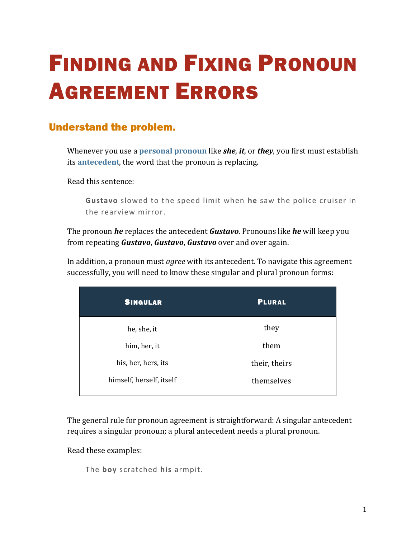# FINDING AND FIXING PRONOUN AGREEMENT ERRORS

# Understand the problem.

Whenever you use a **[personal pronoun](https://chompchomp.com/terms/personalpronoun.htm)** like *she*, *it*, or *they*, you first must establish its **[antecedent](https://chompchomp.com/terms/antecedent.htm)**, the word that the pronoun is replacing.

Read this sentence:

**Gustavo** slowed to the speed limit when **he** saw the police cruiser in the rearview mirror.

The pronoun *he* replaces the antecedent *Gustavo*. Pronouns like *he* will keep you from repeating *Gustavo*, *Gustavo*, *Gustavo* over and over again.

In addition, a pronoun must *agree* with its antecedent. To navigate this agreement successfully, you will need to know these singular and plural pronoun forms:

| <b>SINGULAR</b>          | <b>PLURAL</b> |
|--------------------------|---------------|
| he, she, it              | they          |
| him, her, it             | them          |
| his, her, hers, its      | their, theirs |
| himself, herself, itself | themselves    |
|                          |               |

The general rule for pronoun agreement is straightforward: A singular antecedent requires a singular pronoun; a plural antecedent needs a plural pronoun.

Read these examples:

The **boy** scratched **his** armpit.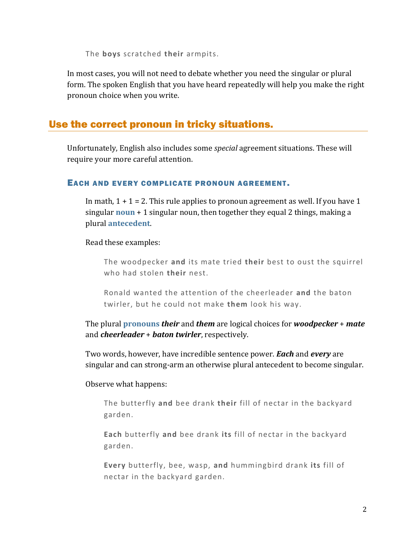The **boys** scratched **their** armpits.

In most cases, you will not need to debate whether you need the singular or plural form. The spoken English that you have heard repeatedly will help you make the right pronoun choice when you write.

# Use the correct pronoun in tricky situations.

Unfortunately, English also includes some *special* agreement situations. These will require your more careful attention.

## EACH AND EVERY COMPLICATE PRONOUN AGREEMENT.

In math,  $1 + 1 = 2$ . This rule applies to pronoun agreement as well. If you have 1 singular **[noun](https://chompchomp.com/terms/noun.htm)** + 1 singular noun, then together they equal 2 things, making a plural **[antecedent](https://chompchomp.com/terms/antecedent.htm)**.

## Read these examples:

The woodpecker **and** its mate tried **their** best to oust the squirrel who had stolen **their** nest.

Ronald wanted the attention of the cheerleader **and** the baton twirler, but he could not make **them** look his way.

The plural **[pronouns](https://chompchomp.com/terms/pronoun.htm)** *their* and *them* are logical choices for *woodpecker* + *mate* and *cheerleader* + *baton twirler*, respectively.

Two words, however, have incredible sentence power. *Each* and *every* are singular and can strong-arm an otherwise plural antecedent to become singular.

## Observe what happens:

The butterfly **and** bee drank **their** fill of nectar in the backyard garden.

**Each** butterfly **and** bee drank **its** fill of nectar in the backyard garden.

**Every** butterfly, bee, wasp, **and** hummingbird drank **its** fill of nectar in the backyard garden.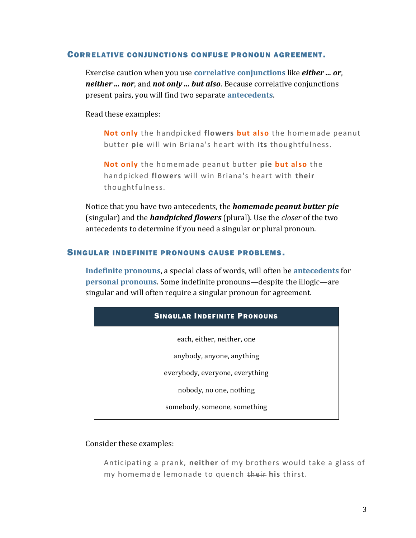#### CORRELATIVE CONJUNCTIONS CONFUSE PRONOUN AGREEMENT .

Exercise caution when you use **[correlative conjunctions](https://chompchomp.com/terms/correlativeconjunction.htm)** like *either ... or*, *neither ... nor*, and *not only ... but also*. Because correlative conjunctions present pairs, you will find two separate **[antecedents](https://chompchomp.com/terms/antecedent.htm)**.

Read these examples:

**Not only** the handpicked **flowers but also** the homemade peanut butter **pie** will win Briana's heart with **its** thoughtfulness.

**Not only** the homemade peanut butter **pie but also** the handpicked **flowers** will win Briana's heart with **their** thoughtfulness.

Notice that you have two antecedents, the *homemade peanut butter pie* (singular) and the *handpicked flowers* (plural). Use the *closer* of the two antecedents to determine if you need a singular or plural pronoun.

#### SINGULAR INDEFINITE PRONOUNS CAUSE PROBLEMS.

**[Indefinite pronouns](https://chompchomp.com/terms/indefinitepronoun.htm)**, a special class of words, will often be **[antecedents](https://chompchomp.com/terms/antecedent.htm)** for **[personal pronouns](https://chompchomp.com/terms/personalpronoun.htm)**. Some indefinite pronouns—despite the illogic—are singular and will often require a singular pronoun for agreement.

| <b>SINGULAR INDEFINITE PRONOUNS</b> |  |
|-------------------------------------|--|
| each, either, neither, one          |  |
| anybody, anyone, anything           |  |
| everybody, everyone, everything     |  |
| nobody, no one, nothing             |  |
| somebody, someone, something        |  |

#### Consider these examples:

Anticipating a prank, **neither** of my brothers would take a glass of my homemade lemonade to quench their **his** thirst.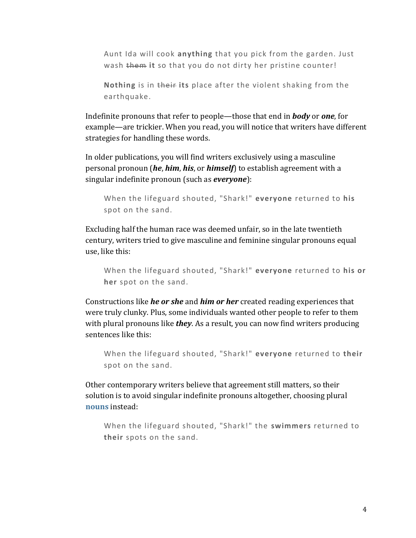Aunt Ida will cook **anything** that you pick from the garden. Just wash them it so that you do not dirty her pristine counter!

**Nothing** is in their **its** place after the violent shaking from the earthquake.

Indefinite pronouns that refer to people—those that end in *body* or *one*, for example—are trickier. When you read, you will notice that writers have different strategies for handling these words.

In older publications, you will find writers exclusively using a masculine personal pronoun (*he*, *him*, *his*, or *himself*) to establish agreement with a singular indefinite pronoun (such as *everyone*):

```
When the lifeguard shouted, "Shark!" everyone returned to his
spot on the sand.
```
Excluding half the human race was deemed unfair, so in the late twentieth century, writers tried to give masculine and feminine singular pronouns equal use, like this:

```
When the lifeguard shouted, "Shark!" everyone returned to his or 
her spot on the sand.
```
Constructions like *he or she* and *him or her* created reading experiences that were truly clunky. Plus, some individuals wanted other people to refer to them with plural pronouns like *they*. As a result, you can now find writers producing sentences like this:

When the lifeguard shouted, "Shark!" **everyone** returned to **their** spot on the sand.

Other contemporary writers believe that agreement still matters, so their solution is to avoid singular indefinite pronouns altogether, choosing plural **[nouns](https://chompchomp.com/terms/noun.htm)** instead:

When the lifeguard shouted, "Shark!" the **swimmers** returned to **their** spots on the sand.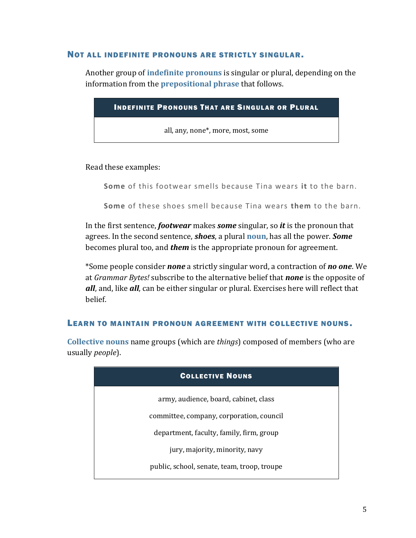#### NOT ALL INDEFINITE PRONOUNS ARE STRICTLY SINGULAR.

Another group of **[indefinite pronouns](https://chompchomp.com/terms/indefinitepronoun.htm)** is singular or plural, depending on the information from the **[prepositional phrase](https://chompchomp.com/terms/prepositionalphrase.htm)** that follows.

| <b>INDEFINITE PRONOUNS THAT ARE SINGULAR OR PLURAL</b> |  |
|--------------------------------------------------------|--|
| all, any, none*, more, most, some                      |  |
|                                                        |  |

#### Read these examples:

**Some** of this footwear smells because Tina wears **it** to the barn.

**Some** of these shoes smell because Tina wears **them** to the barn.

In the first sentence, *footwear* makes *some* singular, so *it* is the pronoun that agrees. In the second sentence, *shoes*, a plural **[noun](https://chompchomp.com/terms/noun.htm)**, has all the power. *Some* becomes plural too, and *them* is the appropriate pronoun for agreement.

\*Some people consider *none* a strictly singular word, a contraction of *no one*. We at *Grammar Bytes!* subscribe to the alternative belief that *none* is the opposite of *all*, and, like *all*, can be either singular or plural. Exercises here will reflect that belief.

#### LEARN TO MAINTAIN PRONOUN AGREEMENT WITH COLLECTIVE NOUNS.

**[Collective nouns](https://chompchomp.com/terms/collectivenoun.htm)** name groups (which are *things*) composed of members (who are usually *people*).

| <b>COLLECTIVE NOUNS</b>                     |  |
|---------------------------------------------|--|
| army, audience, board, cabinet, class       |  |
| committee, company, corporation, council    |  |
| department, faculty, family, firm, group    |  |
| jury, majority, minority, navy              |  |
| public, school, senate, team, troop, troupe |  |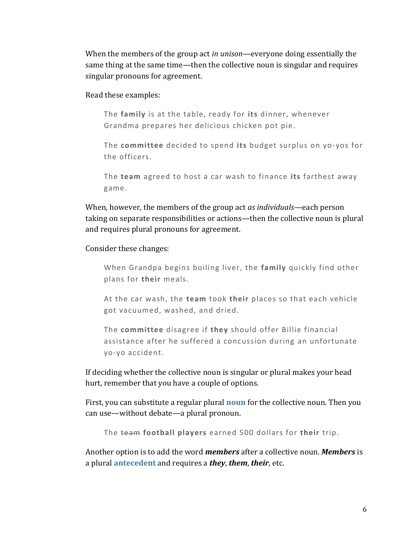When the members of the group act *in unison*—everyone doing essentially the same thing at the same time—then the collective noun is singular and requires singular pronouns for agreement.

Read these examples:

The **family** is at the table, ready for **its** dinner, whenever Grandma prepares her delicious chicken pot pie.

The **committee** decided to spend **its** budget surplus on yo-yos for the officers.

The **team** agreed to host a car wash to finance **its** farthest away game.

When, however, the members of the group act *as individuals*—each person taking on separate responsibilities or actions—then the collective noun is plural and requires plural pronouns for agreement.

Consider these changes:

When Grandpa begins boiling liver, the **family** quickly find other plans for **their** meals.

At the car wash, the **team** took **their** places so that each vehicle got vacuumed, washed, and dried.

The **committee** disagree if **they** should offer Billie financial assistance after he suffered a concussion during an unfortunate yo-yo accident.

If deciding whether the collective noun is singular or plural makes your head hurt, remember that you have a couple of options.

First, you can substitute a regular plural **[noun](https://chompchomp.com/terms/noun.htm)** for the collective noun. Then you can use—without debate—a plural pronoun.

The team **football players** earned 500 dollars for **their** trip.

Another option is to add the word *members* after a collective noun. *Members* is a plural **[antecedent](https://chompchomp.com/terms/antecedent.htm)** and requires a *they*, *them*, *their*, etc.